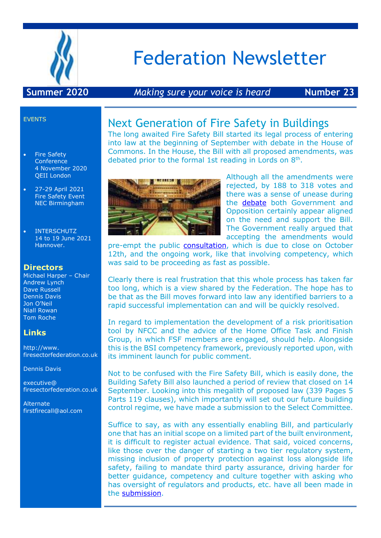

# Federation Newsletter

#### **Summer 2020** *Making sure your voice is heard* **Number 23**

#### EVENTS

- Fire Safety **Conference** 4 November 2020 QEII London
- 27-29 April 2021 Fire Safety Event NEC Birmingham
- INTERSCHUTZ 14 to 19 June 2021 Hannover.

#### **Directors**

Michael Harper – Chair Andrew Lynch Dave Russell Dennis Davis Jon O'Neil Niall Rowan Tom Roche

#### **Links**

http://www. firesectorfederation.co.uk

Dennis Davis

executive@ firesectorfederation.co.uk

Alternate firstfirecall@aol.com

### Next Generation of Fire Safety in Buildings

The long awaited Fire Safety Bill started its legal process of entering into law at the beginning of September with debate in the House of Commons. In the House, the Bill with all proposed amendments, was debated prior to the formal 1st reading in Lords on 8<sup>th</sup>.



Although all the amendments were rejected, by 188 to 318 votes and there was a sense of unease during the [debate](https://hansard.parliament.uk/commons/2020-09-07/debates/A97D95F3-B6A5-423A-A820-6A8B28A8C189/FireSafetyBill) both Government and Opposition certainly appear aligned on the need and support the Bill. The Government really argued that accepting the amendments would

pre-empt the public **consultation**, which is due to close on October 12th, and the ongoing work, like that involving competency, which was said to be proceeding as fast as possible.

Clearly there is real frustration that this whole process has taken far too long, which is a view shared by the Federation. The hope has to be that as the Bill moves forward into law any identified barriers to a rapid successful implementation can and will be quickly resolved.

In regard to implementation the development of a risk prioritisation tool by NFCC and the advice of the Home Office Task and Finish Group, in which FSF members are engaged, should help. Alongside this is the BSI competency framework, previously reported upon, with its imminent launch for public comment.

Not to be confused with the Fire Safety Bill, which is easily done, the Building Safety Bill also launched a period of review that closed on 14 September. Looking into this megalith of proposed law (339 Pages 5 Parts 119 clauses), which importantly will set out our future building control regime, we have made a submission to the Select Committee.

Suffice to say, as with any essentially enabling Bill, and particularly one that has an initial scope on a limited part of the built environment, it is difficult to register actual evidence. That said, voiced concerns, like those over the danger of starting a two tier regulatory system, missing inclusion of property protection against loss alongside life safety, failing to mandate third party assurance, driving harder for better guidance, competency and culture together with asking who has oversight of regulators and products, etc. have all been made in the [submission.](https://basecamp.com/2114634/projects/16759564/uploads/49450776?enlarge=415577982#attachment_415577982)